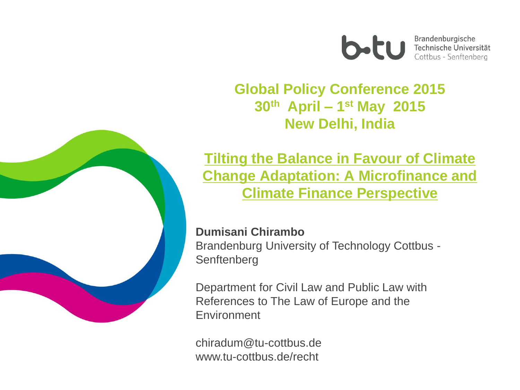

Brandenburgische **Brandenburgische**<br>
Technische Universität Cottbus - Senftenberg

#### **Global Policy Conference 2015 30th April – 1 st May 2015 New Delhi, India**



**Tilting the Balance in Favour of Climate Change Adaptation: A Microfinance and Climate Finance Perspective**

#### **Dumisani Chirambo**

Brandenburg University of Technology Cottbus -

Department for Civil Law and Public Law with References to The Law of Europe and the **Environment** 

chiradum@tu-cottbus.de www.tu-cottbus.de/recht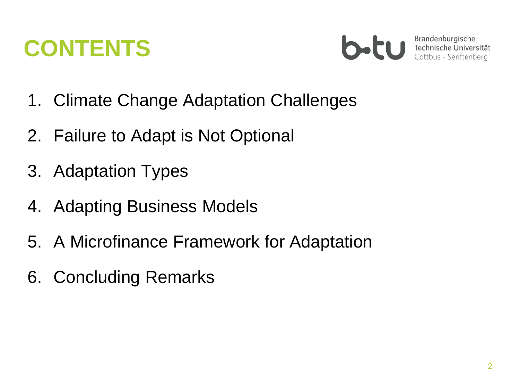### **CONTENTS**



- 1. Climate Change Adaptation Challenges
- 2. Failure to Adapt is Not Optional
- 3. Adaptation Types
- 4. Adapting Business Models
- 5. A Microfinance Framework for Adaptation
- 6. Concluding Remarks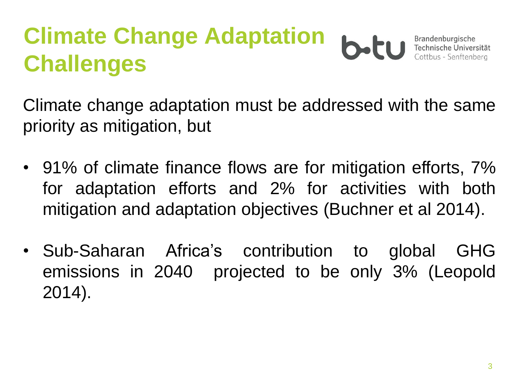#### **Climate Change Adaptation**  Brandenburgische b.H Technische Universität Cottbus - Senftenberg **Challenges**

Climate change adaptation must be addressed with the same priority as mitigation, but

- 91% of climate finance flows are for mitigation efforts,  $7\%$ for adaptation efforts and 2% for activities with both mitigation and adaptation objectives (Buchner et al 2014).
- Sub-Saharan Africa's contribution to global GHG emissions in 2040 projected to be only 3% (Leopold 2014).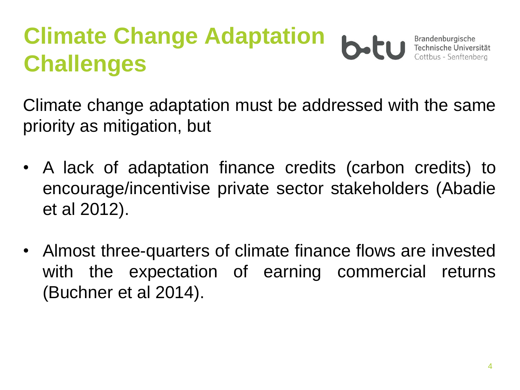#### **Climate Change Adaptation**  Brandenburgische b.H Technische Universität Cottbus - Senftenberg **Challenges**

Climate change adaptation must be addressed with the same priority as mitigation, but

- A lack of adaptation finance credits (carbon credits) to encourage/incentivise private sector stakeholders (Abadie et al 2012).
- Almost three-quarters of climate finance flows are invested with the expectation of earning commercial returns (Buchner et al 2014).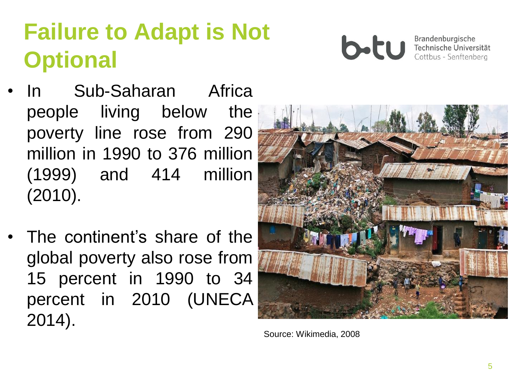## **Failure to Adapt is Not Optional**

- In Sub-Saharan Africa people living below the poverty line rose from 290 million in 1990 to 376 million (1999) and 414 million (2010).
- The continent's share of the global poverty also rose from 15 percent in 1990 to 34 percent in 2010 (UNECA 2014).



Brandenburgische Technische Universität Cottbus - Senftenberg



Source: Wikimedia, 2008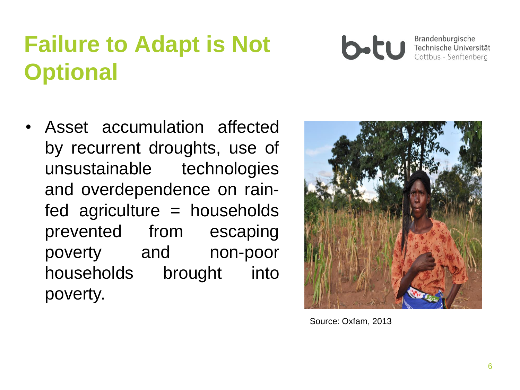## **Failure to Adapt is Not Optional**



• Asset accumulation affected by recurrent droughts, use of unsustainable technologies and overdependence on rain $fed$  agriculture = households prevented from escaping poverty and non-poor households brought into poverty.



Source: Oxfam, 2013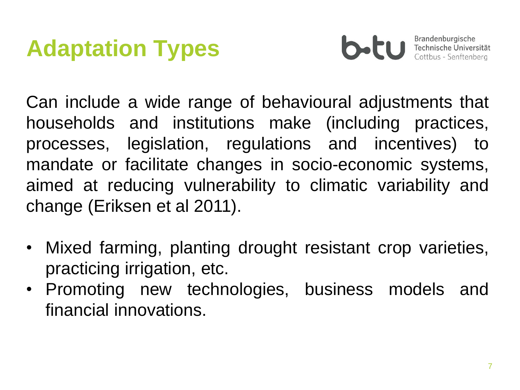## **Adaptation Types**



Brandenburgische Technische Universität Cottbus - Senftenberg

Can include a wide range of behavioural adjustments that households and institutions make (including practices, processes, legislation, regulations and incentives) to mandate or facilitate changes in socio-economic systems, aimed at reducing vulnerability to climatic variability and change (Eriksen et al 2011).

- Mixed farming, planting drought resistant crop varieties, practicing irrigation, etc.
- Promoting new technologies, business models and financial innovations.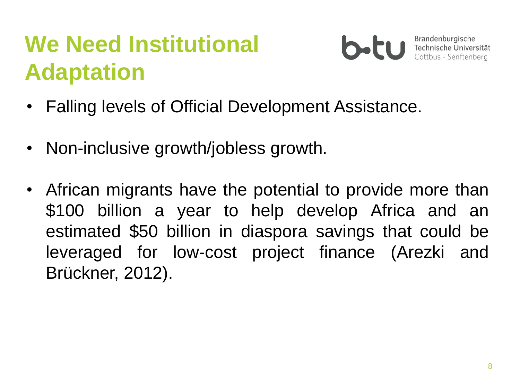# **We Need Institutional Adaptation**



- Falling levels of Official Development Assistance.
- Non-inclusive growth/jobless growth.
- African migrants have the potential to provide more than \$100 billion a year to help develop Africa and an estimated \$50 billion in diaspora savings that could be leveraged for low-cost project finance (Arezki and Brückner, 2012).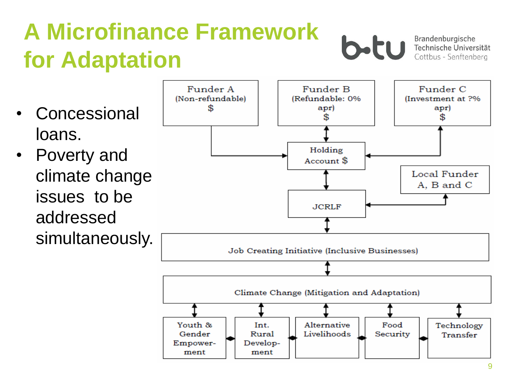# **A Microfinance Framework for Adaptation**



Brandenburgische Technische Universität Cottbus - Senftenberg

- **Concessional** loans.
- Poverty and climate change issues to be addressed simultaneously.

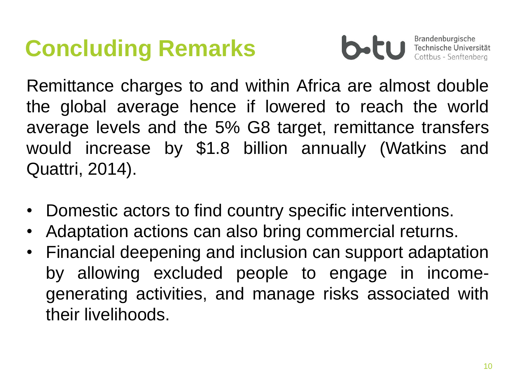### **Concluding Remarks**



Brandenburgische Technische Universität Cottbus - Senftenberg

Remittance charges to and within Africa are almost double the global average hence if lowered to reach the world average levels and the 5% G8 target, remittance transfers would increase by \$1.8 billion annually (Watkins and Quattri, 2014).

- Domestic actors to find country specific interventions.
- Adaptation actions can also bring commercial returns.
- Financial deepening and inclusion can support adaptation by allowing excluded people to engage in incomegenerating activities, and manage risks associated with their livelihoods.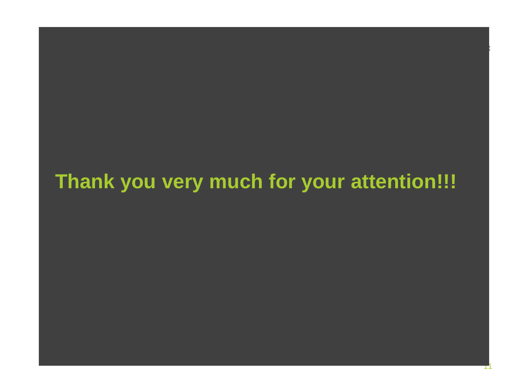#### **Thank you very much for your attention!!!**